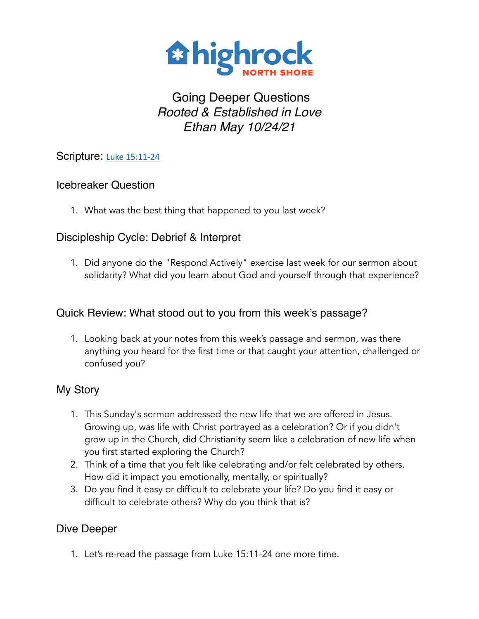

# Going Deeper Questions *Rooted & Established in Love Ethan May 10/24/21*

# Scripture: [Luke 15:11-24](https://www.biblegateway.com/passage/?search=Luke%2015:11-24&version=NIV)

# Icebreaker Question

1. What was the best thing that happened to you last week?

# Discipleship Cycle: Debrief & Interpret

1. Did anyone do the "Respond Actively" exercise last week for our sermon about solidarity? What did you learn about God and yourself through that experience?

# Quick Review: What stood out to you from this week's passage?

1. Looking back at your notes from this week's passage and sermon, was there anything you heard for the first time or that caught your attention, challenged or confused you?

# My Story

- 1. This Sunday's sermon addressed the new life that we are offered in Jesus. Growing up, was life with Christ portrayed as a celebration? Or if you didn't grow up in the Church, did Christianity seem like a celebration of new life when you first started exploring the Church?
- 2. Think of a time that you felt like celebrating and/or felt celebrated by others. How did it impact you emotionally, mentally, or spiritually?
- 3. Do you find it easy or difficult to celebrate your life? Do you find it easy or difficult to celebrate others? Why do you think that is?

# Dive Deeper

1. Let's re-read the passage from Luke 15:11-24 one more time.